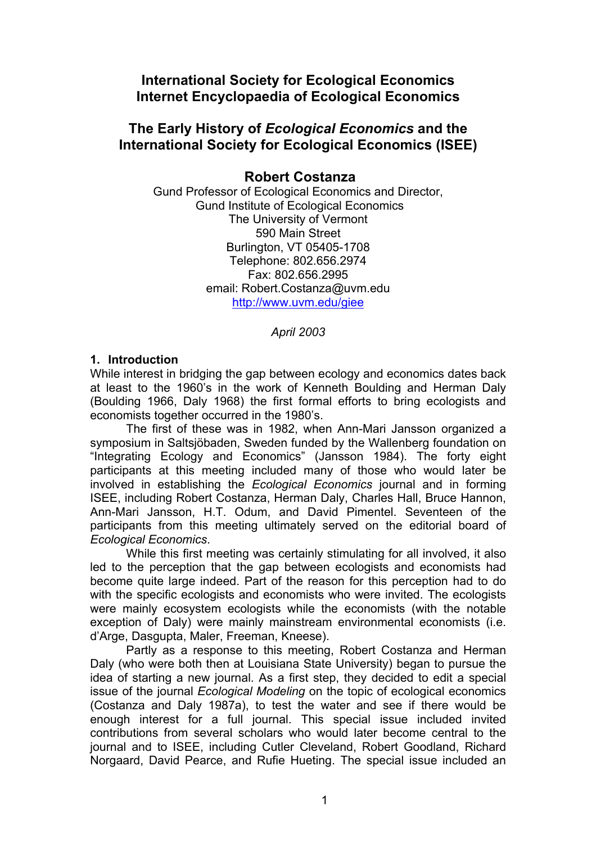# **International Society for Ecological Economics Internet Encyclopaedia of Ecological Economics**

## **The Early History of** *Ecological Economics* **and the International Society for Ecological Economics (ISEE)**

### **Robert Costanza**

Gund Professor of Ecological Economics and Director, Gund Institute of Ecological Economics The University of Vermont 590 Main Street Burlington, VT 05405-1708 Telephone: 802.656.2974 Fax: 802.656.2995 email: Robert.Costanza@uvm.edu <http://www.uvm.edu/giee>

*April 2003*

#### **1. Introduction**

While interest in bridging the gap between ecology and economics dates back at least to the 1960's in the work of Kenneth Boulding and Herman Daly (Boulding 1966, Daly 1968) the first formal efforts to bring ecologists and economists together occurred in the 1980's.

The first of these was in 1982, when Ann-Mari Jansson organized a symposium in Saltsjöbaden, Sweden funded by the Wallenberg foundation on "Integrating Ecology and Economics" (Jansson 1984). The forty eight participants at this meeting included many of those who would later be involved in establishing the *Ecological Economics* journal and in forming ISEE, including Robert Costanza, Herman Daly, Charles Hall, Bruce Hannon, Ann-Mari Jansson, H.T. Odum, and David Pimentel. Seventeen of the participants from this meeting ultimately served on the editorial board of *Ecological Economics*.

While this first meeting was certainly stimulating for all involved, it also led to the perception that the gap between ecologists and economists had become quite large indeed. Part of the reason for this perception had to do with the specific ecologists and economists who were invited. The ecologists were mainly ecosystem ecologists while the economists (with the notable exception of Daly) were mainly mainstream environmental economists (i.e. d'Arge, Dasgupta, Maler, Freeman, Kneese).

Partly as a response to this meeting, Robert Costanza and Herman Daly (who were both then at Louisiana State University) began to pursue the idea of starting a new journal. As a first step, they decided to edit a special issue of the journal *Ecological Modeling* on the topic of ecological economics (Costanza and Daly 1987a), to test the water and see if there would be enough interest for a full journal. This special issue included invited contributions from several scholars who would later become central to the journal and to ISEE, including Cutler Cleveland, Robert Goodland, Richard Norgaard, David Pearce, and Rufie Hueting. The special issue included an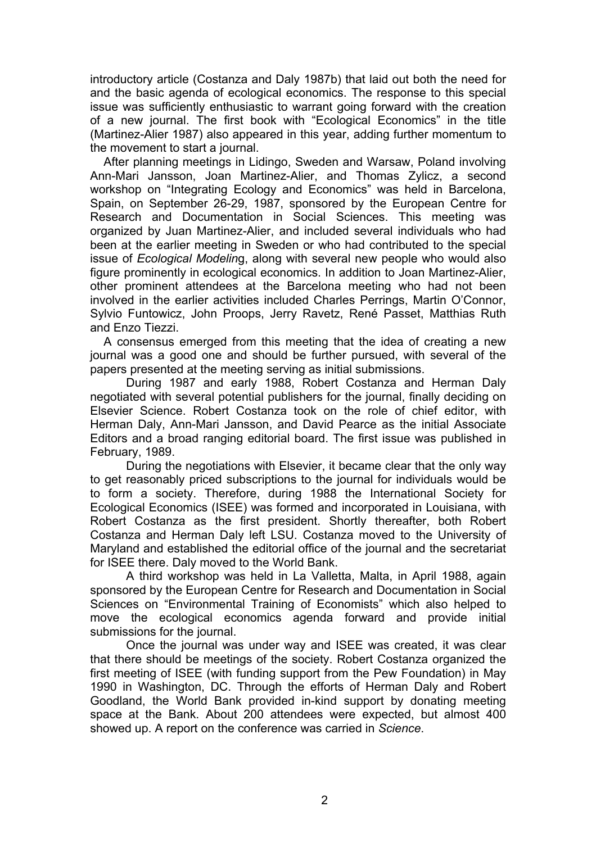introductory article (Costanza and Daly 1987b) that laid out both the need for and the basic agenda of ecological economics. The response to this special issue was sufficiently enthusiastic to warrant going forward with the creation of a new journal. The first book with "Ecological Economics" in the title (Martinez-Alier 1987) also appeared in this year, adding further momentum to the movement to start a journal.

After planning meetings in Lidingo, Sweden and Warsaw, Poland involving Ann-Mari Jansson, Joan Martinez-Alier, and Thomas Zylicz, a second workshop on "Integrating Ecology and Economics" was held in Barcelona, Spain, on September 26-29, 1987, sponsored by the European Centre for Research and Documentation in Social Sciences. This meeting was organized by Juan Martinez-Alier, and included several individuals who had been at the earlier meeting in Sweden or who had contributed to the special issue of *Ecological Modelin*g, along with several new people who would also figure prominently in ecological economics. In addition to Joan Martinez-Alier, other prominent attendees at the Barcelona meeting who had not been involved in the earlier activities included Charles Perrings, Martin O'Connor, Sylvio Funtowicz, John Proops, Jerry Ravetz, René Passet, Matthias Ruth and Enzo Tiezzi.

A consensus emerged from this meeting that the idea of creating a new journal was a good one and should be further pursued, with several of the papers presented at the meeting serving as initial submissions.

During 1987 and early 1988, Robert Costanza and Herman Daly negotiated with several potential publishers for the journal, finally deciding on Elsevier Science. Robert Costanza took on the role of chief editor, with Herman Daly, Ann-Mari Jansson, and David Pearce as the initial Associate Editors and a broad ranging editorial board. The first issue was published in February, 1989.

During the negotiations with Elsevier, it became clear that the only way to get reasonably priced subscriptions to the journal for individuals would be to form a society. Therefore, during 1988 the International Society for Ecological Economics (ISEE) was formed and incorporated in Louisiana, with Robert Costanza as the first president. Shortly thereafter, both Robert Costanza and Herman Daly left LSU. Costanza moved to the University of Maryland and established the editorial office of the journal and the secretariat for ISEE there. Daly moved to the World Bank.

A third workshop was held in La Valletta, Malta, in April 1988, again sponsored by the European Centre for Research and Documentation in Social Sciences on "Environmental Training of Economists" which also helped to move the ecological economics agenda forward and provide initial submissions for the journal.

Once the journal was under way and ISEE was created, it was clear that there should be meetings of the society. Robert Costanza organized the first meeting of ISEE (with funding support from the Pew Foundation) in May 1990 in Washington, DC. Through the efforts of Herman Daly and Robert Goodland, the World Bank provided in-kind support by donating meeting space at the Bank. About 200 attendees were expected, but almost 400 showed up. A report on the conference was carried in *Science*.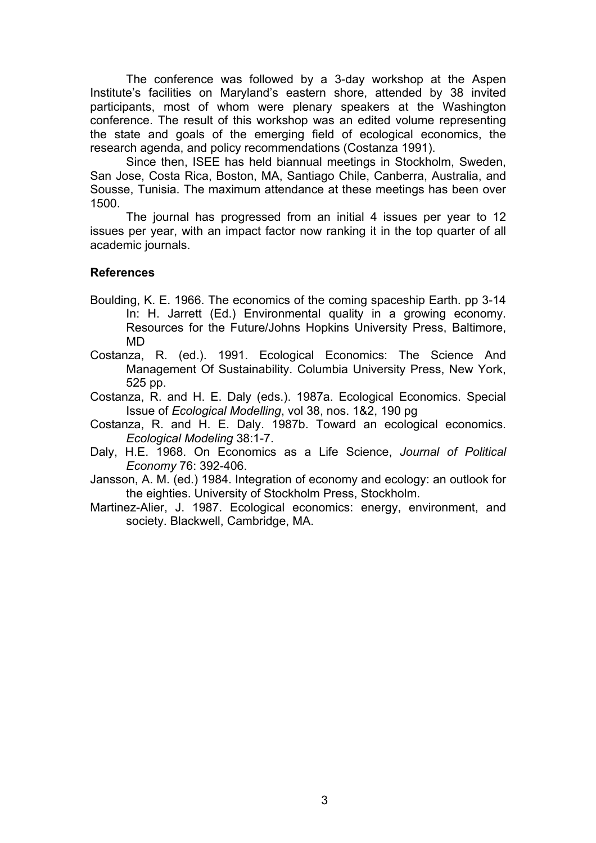The conference was followed by a 3-day workshop at the Aspen Institute's facilities on Maryland's eastern shore, attended by 38 invited participants, most of whom were plenary speakers at the Washington conference. The result of this workshop was an edited volume representing the state and goals of the emerging field of ecological economics, the research agenda, and policy recommendations (Costanza 1991).

Since then, ISEE has held biannual meetings in Stockholm, Sweden, San Jose, Costa Rica, Boston, MA, Santiago Chile, Canberra, Australia, and Sousse, Tunisia. The maximum attendance at these meetings has been over 1500.

The journal has progressed from an initial 4 issues per year to 12 issues per year, with an impact factor now ranking it in the top quarter of all academic journals.

#### **References**

- Boulding, K. E. 1966. The economics of the coming spaceship Earth. pp 3-14 In: H. Jarrett (Ed.) Environmental quality in a growing economy. Resources for the Future/Johns Hopkins University Press, Baltimore, MD
- Costanza, R. (ed.). 1991. Ecological Economics: The Science And Management Of Sustainability. Columbia University Press, New York, 525 pp.
- Costanza, R. and H. E. Daly (eds.). 1987a. Ecological Economics. Special Issue of *Ecological Modelling*, vol 38, nos. 1&2, 190 pg
- Costanza, R. and H. E. Daly. 1987b. Toward an ecological economics. *Ecological Modeling* 38:1-7.
- Daly, H.E. 1968. On Economics as a Life Science, *Journal of Political Economy* 76: 392-406.
- Jansson, A. M. (ed.) 1984. Integration of economy and ecology: an outlook for the eighties. University of Stockholm Press, Stockholm.
- Martinez-Alier, J. 1987. Ecological economics: energy, environment, and society. Blackwell, Cambridge, MA.